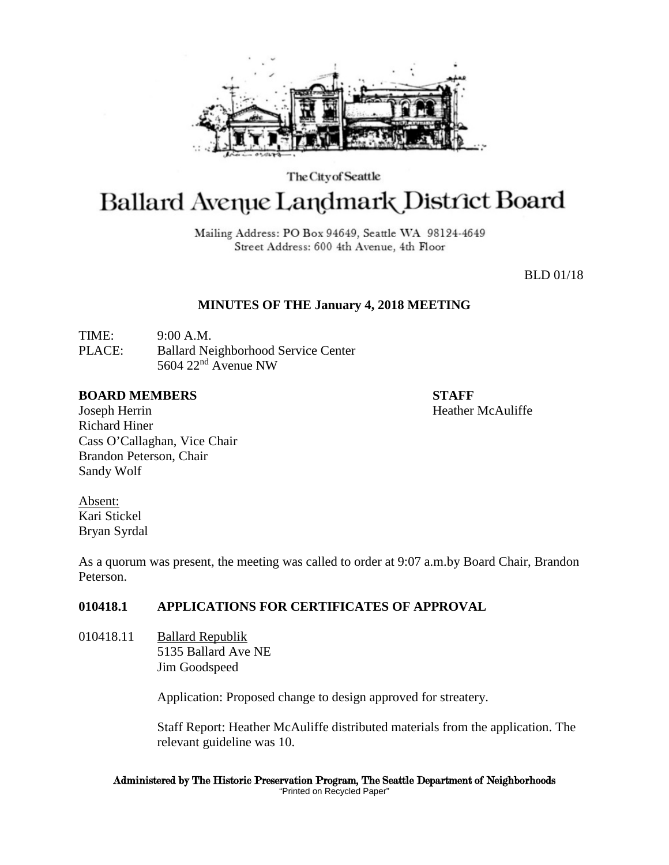

The City of Seattle

# **Ballard Avenue Landmark District Board**

Mailing Address: PO Box 94649, Seattle WA 98124-4649 Street Address: 600 4th Avenue, 4th Floor

BLD 01/18

# **MINUTES OF THE January 4, 2018 MEETING**

TIME: 9:00 A.M. PLACE: Ballard Neighborhood Service Center 5604 22nd Avenue NW

#### **BOARD MEMBERS STAFF**

Joseph Herrin Heather McAuliffe Richard Hiner Cass O'Callaghan, Vice Chair Brandon Peterson, Chair Sandy Wolf

Absent: Kari Stickel Bryan Syrdal

As a quorum was present, the meeting was called to order at 9:07 a.m.by Board Chair, Brandon Peterson.

# **010418.1 APPLICATIONS FOR CERTIFICATES OF APPROVAL**

010418.11 Ballard Republik 5135 Ballard Ave NE Jim Goodspeed

Application: Proposed change to design approved for streatery.

Staff Report: Heather McAuliffe distributed materials from the application. The relevant guideline was 10.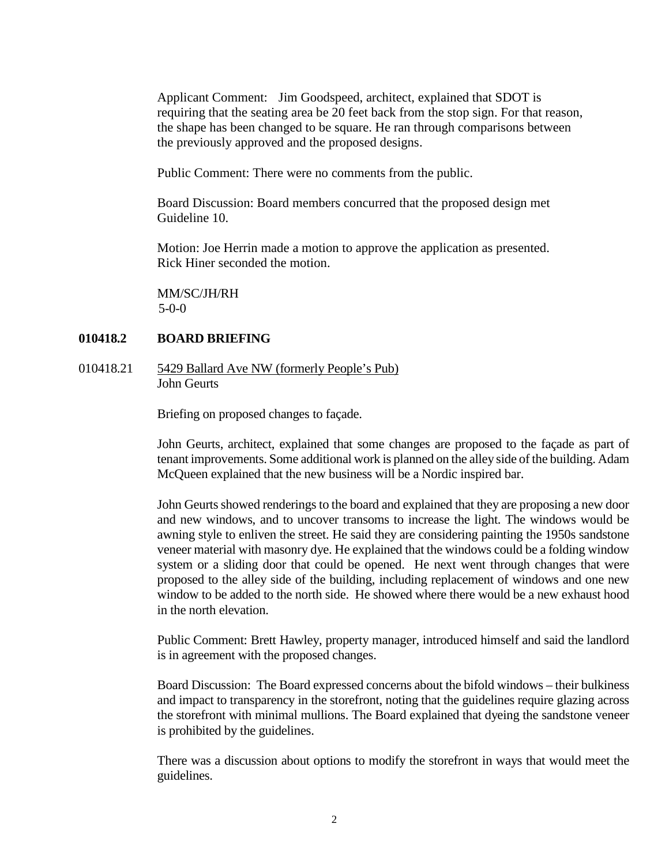Applicant Comment: Jim Goodspeed, architect, explained that SDOT is requiring that the seating area be 20 feet back from the stop sign. For that reason, the shape has been changed to be square. He ran through comparisons between the previously approved and the proposed designs.

Public Comment: There were no comments from the public.

Board Discussion: Board members concurred that the proposed design met Guideline 10.

Motion: Joe Herrin made a motion to approve the application as presented. Rick Hiner seconded the motion.

MM/SC/JH/RH 5-0-0

#### **010418.2 BOARD BRIEFING**

010418.21 5429 Ballard Ave NW (formerly People's Pub) John Geurts

Briefing on proposed changes to façade.

John Geurts, architect, explained that some changes are proposed to the façade as part of tenant improvements. Some additional work is planned on the alley side of the building. Adam McQueen explained that the new business will be a Nordic inspired bar.

John Geurts showed renderings to the board and explained that they are proposing a new door and new windows, and to uncover transoms to increase the light. The windows would be awning style to enliven the street. He said they are considering painting the 1950s sandstone veneer material with masonry dye. He explained that the windows could be a folding window system or a sliding door that could be opened. He next went through changes that were proposed to the alley side of the building, including replacement of windows and one new window to be added to the north side. He showed where there would be a new exhaust hood in the north elevation.

Public Comment: Brett Hawley, property manager, introduced himself and said the landlord is in agreement with the proposed changes.

Board Discussion: The Board expressed concerns about the bifold windows – their bulkiness and impact to transparency in the storefront, noting that the guidelines require glazing across the storefront with minimal mullions. The Board explained that dyeing the sandstone veneer is prohibited by the guidelines.

There was a discussion about options to modify the storefront in ways that would meet the guidelines.